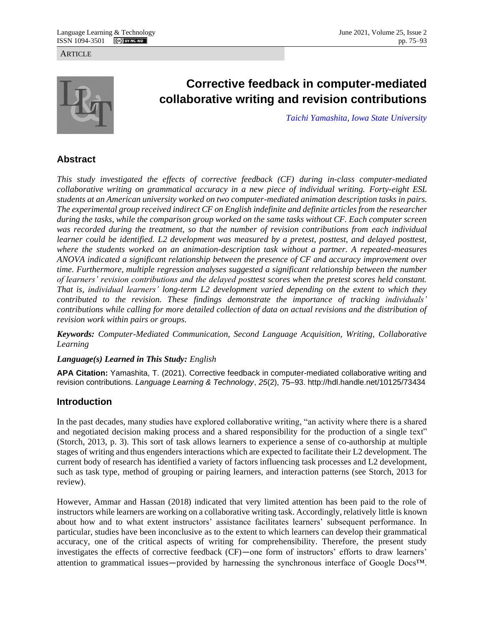#### **ARTICLE**



# **Corrective feedback in computer-mediated collaborative writing and revision contributions**

*[Taichi Yamashita,](https://engl.iastate.edu/directory/taichi-yamashita/) [Iowa State University](https://engl.iastate.edu/)*

# **Abstract**

*This study investigated the effects of corrective feedback (CF) during in-class computer-mediated collaborative writing on grammatical accuracy in a new piece of individual writing. Forty-eight ESL students at an American university worked on two computer-mediated animation description tasks in pairs. The experimental group received indirect CF on English indefinite and definite articles from the researcher during the tasks, while the comparison group worked on the same tasks without CF. Each computer screen was recorded during the treatment, so that the number of revision contributions from each individual learner could be identified. L2 development was measured by a pretest, posttest, and delayed posttest, where the students worked on an animation-description task without a partner. A repeated-measures ANOVA indicated a significant relationship between the presence of CF and accuracy improvement over time. Furthermore, multiple regression analyses suggested a significant relationship between the number of learners' revision contributions and the delayed posttest scores when the pretest scores held constant. That is, individual learners' long-term L2 development varied depending on the extent to which they contributed to the revision. These findings demonstrate the importance of tracking individuals' contributions while calling for more detailed collection of data on actual revisions and the distribution of revision work within pairs or groups.* 

*Keywords: Computer-Mediated Communication, Second Language Acquisition, Writing, Collaborative Learning*

## *Language(s) Learned in This Study: English*

**APA Citation:** Yamashita, T. (2021). Corrective feedback in computer-mediated collaborative writing and revision contributions. *Language Learning & Technology*, *25*(2), 75–93. http://hdl.handle.net/10125/73434

# **Introduction**

In the past decades, many studies have explored collaborative writing, "an activity where there is a shared and negotiated decision making process and a shared responsibility for the production of a single text" (Storch, 2013, p. 3). This sort of task allows learners to experience a sense of co-authorship at multiple stages of writing and thus engenders interactions which are expected to facilitate their L2 development. The current body of research has identified a variety of factors influencing task processes and L2 development, such as task type, method of grouping or pairing learners, and interaction patterns (see Storch, 2013 for review).

However, Ammar and Hassan (2018) indicated that very limited attention has been paid to the role of instructors while learners are working on a collaborative writing task. Accordingly, relatively little is known about how and to what extent instructors' assistance facilitates learners' subsequent performance. In particular, studies have been inconclusive as to the extent to which learners can develop their grammatical accuracy, one of the critical aspects of writing for comprehensibility. Therefore, the present study investigates the effects of corrective feedback (CF)—one form of instructors' efforts to draw learners' attention to grammatical issues—provided by harnessing the synchronous interface of Google Docs™.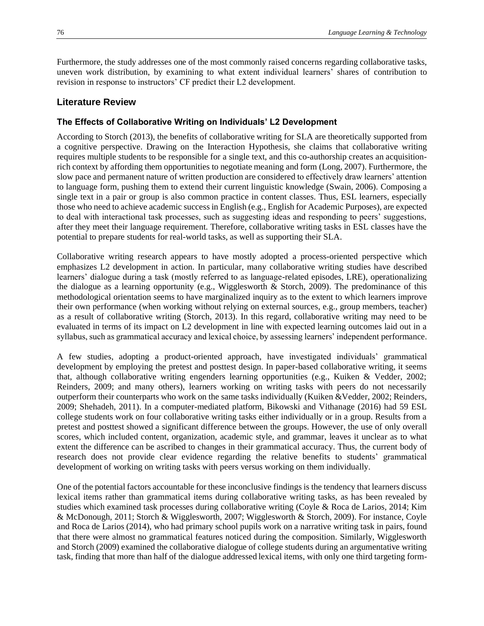Furthermore, the study addresses one of the most commonly raised concerns regarding collaborative tasks, uneven work distribution, by examining to what extent individual learners' shares of contribution to revision in response to instructors' CF predict their L2 development.

## **Literature Review**

## **The Effects of Collaborative Writing on Individuals' L2 Development**

According to Storch (2013), the benefits of collaborative writing for SLA are theoretically supported from a cognitive perspective. Drawing on the Interaction Hypothesis, she claims that collaborative writing requires multiple students to be responsible for a single text, and this co-authorship creates an acquisitionrich context by affording them opportunities to negotiate meaning and form (Long, 2007). Furthermore, the slow pace and permanent nature of written production are considered to effectively draw learners' attention to language form, pushing them to extend their current linguistic knowledge (Swain, 2006). Composing a single text in a pair or group is also common practice in content classes. Thus, ESL learners, especially those who need to achieve academic success in English (e.g., English for Academic Purposes), are expected to deal with interactional task processes, such as suggesting ideas and responding to peers' suggestions, after they meet their language requirement. Therefore, collaborative writing tasks in ESL classes have the potential to prepare students for real-world tasks, as well as supporting their SLA.

Collaborative writing research appears to have mostly adopted a process-oriented perspective which emphasizes L2 development in action. In particular, many collaborative writing studies have described learners' dialogue during a task (mostly referred to as language-related episodes, LRE), operationalizing the dialogue as a learning opportunity (e.g., Wigglesworth & Storch, 2009). The predominance of this methodological orientation seems to have marginalized inquiry as to the extent to which learners improve their own performance (when working without relying on external sources, e.g., group members, teacher) as a result of collaborative writing (Storch, 2013). In this regard, collaborative writing may need to be evaluated in terms of its impact on L2 development in line with expected learning outcomes laid out in a syllabus, such as grammatical accuracy and lexical choice, by assessing learners' independent performance.

A few studies, adopting a product-oriented approach, have investigated individuals' grammatical development by employing the pretest and posttest design. In paper-based collaborative writing, it seems that, although collaborative writing engenders learning opportunities (e.g., Kuiken & Vedder, 2002; Reinders, 2009; and many others), learners working on writing tasks with peers do not necessarily outperform their counterparts who work on the same tasks individually (Kuiken &Vedder, 2002; Reinders, 2009; Shehadeh, 2011). In a computer-mediated platform, Bikowski and Vithanage (2016) had 59 ESL college students work on four collaborative writing tasks either individually or in a group. Results from a pretest and posttest showed a significant difference between the groups. However, the use of only overall scores, which included content, organization, academic style, and grammar, leaves it unclear as to what extent the difference can be ascribed to changes in their grammatical accuracy. Thus, the current body of research does not provide clear evidence regarding the relative benefits to students' grammatical development of working on writing tasks with peers versus working on them individually.

One of the potential factors accountable for these inconclusive findings is the tendency that learners discuss lexical items rather than grammatical items during collaborative writing tasks, as has been revealed by studies which examined task processes during collaborative writing (Coyle & Roca de Larios, 2014; Kim & McDonough, 2011; Storch & Wigglesworth, 2007; Wigglesworth & Storch, 2009). For instance, Coyle and Roca de Larios (2014), who had primary school pupils work on a narrative writing task in pairs, found that there were almost no grammatical features noticed during the composition. Similarly, Wigglesworth and Storch (2009) examined the collaborative dialogue of college students during an argumentative writing task, finding that more than half of the dialogue addressed lexical items, with only one third targeting form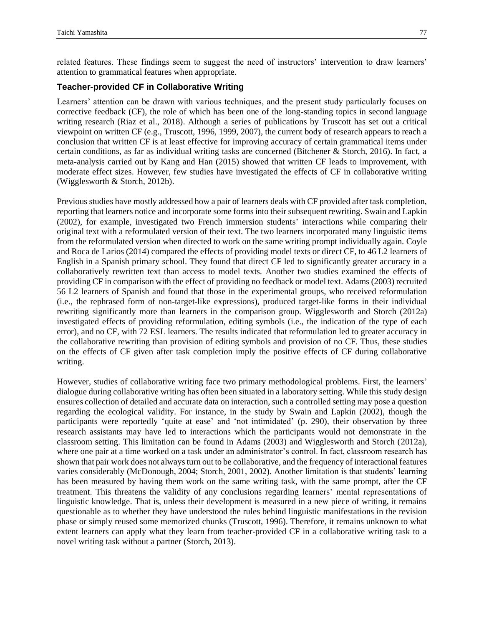related features. These findings seem to suggest the need of instructors' intervention to draw learners' attention to grammatical features when appropriate.

### **Teacher-provided CF in Collaborative Writing**

Learners' attention can be drawn with various techniques, and the present study particularly focuses on corrective feedback (CF), the role of which has been one of the long-standing topics in second language writing research (Riaz et al., 2018). Although a series of publications by Truscott has set out a critical viewpoint on written CF (e.g., Truscott, 1996, 1999, 2007), the current body of research appears to reach a conclusion that written CF is at least effective for improving accuracy of certain grammatical items under certain conditions, as far as individual writing tasks are concerned (Bitchener & Storch, 2016). In fact, a meta-analysis carried out by Kang and Han (2015) showed that written CF leads to improvement, with moderate effect sizes. However, few studies have investigated the effects of CF in collaborative writing (Wigglesworth & Storch, 2012b).

Previous studies have mostly addressed how a pair of learners deals with CF provided after task completion, reporting that learners notice and incorporate some forms into their subsequent rewriting. Swain and Lapkin (2002), for example, investigated two French immersion students' interactions while comparing their original text with a reformulated version of their text. The two learners incorporated many linguistic items from the reformulated version when directed to work on the same writing prompt individually again. Coyle and Roca de Larios (2014) compared the effects of providing model texts or direct CF, to 46 L2 learners of English in a Spanish primary school. They found that direct CF led to significantly greater accuracy in a collaboratively rewritten text than access to model texts. Another two studies examined the effects of providing CF in comparison with the effect of providing no feedback or model text. Adams (2003) recruited 56 L2 learners of Spanish and found that those in the experimental groups, who received reformulation (i.e., the rephrased form of non-target-like expressions), produced target-like forms in their individual rewriting significantly more than learners in the comparison group. Wigglesworth and Storch (2012a) investigated effects of providing reformulation, editing symbols (i.e., the indication of the type of each error), and no CF, with 72 ESL learners. The results indicated that reformulation led to greater accuracy in the collaborative rewriting than provision of editing symbols and provision of no CF. Thus, these studies on the effects of CF given after task completion imply the positive effects of CF during collaborative writing.

However, studies of collaborative writing face two primary methodological problems. First, the learners' dialogue during collaborative writing has often been situated in a laboratory setting. While this study design ensures collection of detailed and accurate data on interaction, such a controlled setting may pose a question regarding the ecological validity. For instance, in the study by Swain and Lapkin (2002), though the participants were reportedly 'quite at ease' and 'not intimidated' (p. 290), their observation by three research assistants may have led to interactions which the participants would not demonstrate in the classroom setting. This limitation can be found in Adams (2003) and Wigglesworth and Storch (2012a), where one pair at a time worked on a task under an administrator's control. In fact, classroom research has shown that pair work does not always turn out to be collaborative, and the frequency of interactional features varies considerably (McDonough, 2004; Storch, 2001, 2002). Another limitation is that students' learning has been measured by having them work on the same writing task, with the same prompt, after the CF treatment. This threatens the validity of any conclusions regarding learners' mental representations of linguistic knowledge. That is, unless their development is measured in a new piece of writing, it remains questionable as to whether they have understood the rules behind linguistic manifestations in the revision phase or simply reused some memorized chunks (Truscott, 1996). Therefore, it remains unknown to what extent learners can apply what they learn from teacher-provided CF in a collaborative writing task to a novel writing task without a partner (Storch, 2013).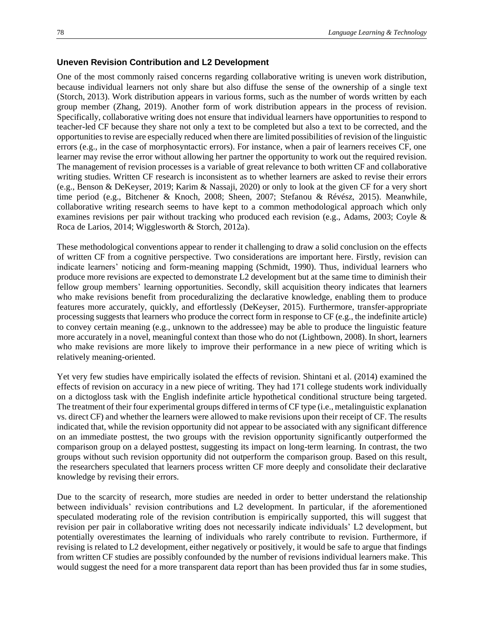#### **Uneven Revision Contribution and L2 Development**

One of the most commonly raised concerns regarding collaborative writing is uneven work distribution, because individual learners not only share but also diffuse the sense of the ownership of a single text (Storch, 2013). Work distribution appears in various forms, such as the number of words written by each group member (Zhang, 2019). Another form of work distribution appears in the process of revision. Specifically, collaborative writing does not ensure that individual learners have opportunities to respond to teacher-led CF because they share not only a text to be completed but also a text to be corrected, and the opportunities to revise are especially reduced when there are limited possibilities of revision of the linguistic errors (e.g., in the case of morphosyntactic errors). For instance, when a pair of learners receives CF, one learner may revise the error without allowing her partner the opportunity to work out the required revision. The management of revision processes is a variable of great relevance to both written CF and collaborative writing studies. Written CF research is inconsistent as to whether learners are asked to revise their errors (e.g., Benson & DeKeyser, 2019; Karim & Nassaji, 2020) or only to look at the given CF for a very short time period (e.g., Bitchener & Knoch, 2008; Sheen, 2007; Stefanou & Révész, 2015). Meanwhile, collaborative writing research seems to have kept to a common methodological approach which only examines revisions per pair without tracking who produced each revision (e.g., Adams, 2003; Coyle & Roca de Larios, 2014; Wigglesworth & Storch, 2012a).

These methodological conventions appear to render it challenging to draw a solid conclusion on the effects of written CF from a cognitive perspective. Two considerations are important here. Firstly, revision can indicate learners' noticing and form-meaning mapping (Schmidt, 1990). Thus, individual learners who produce more revisions are expected to demonstrate L2 development but at the same time to diminish their fellow group members' learning opportunities. Secondly, skill acquisition theory indicates that learners who make revisions benefit from proceduralizing the declarative knowledge, enabling them to produce features more accurately, quickly, and effortlessly (DeKeyser, 2015). Furthermore, transfer-appropriate processing suggests that learners who produce the correct form in response to CF (e.g., the indefinite article) to convey certain meaning (e.g., unknown to the addressee) may be able to produce the linguistic feature more accurately in a novel, meaningful context than those who do not (Lightbown, 2008). In short, learners who make revisions are more likely to improve their performance in a new piece of writing which is relatively meaning-oriented.

Yet very few studies have empirically isolated the effects of revision. Shintani et al. (2014) examined the effects of revision on accuracy in a new piece of writing. They had 171 college students work individually on a dictogloss task with the English indefinite article hypothetical conditional structure being targeted. The treatment of their four experimental groups differed in terms of CF type (i.e., metalinguistic explanation vs. direct CF) and whether the learners were allowed to make revisions upon their receipt of CF. The results indicated that, while the revision opportunity did not appear to be associated with any significant difference on an immediate posttest, the two groups with the revision opportunity significantly outperformed the comparison group on a delayed posttest, suggesting its impact on long-term learning. In contrast, the two groups without such revision opportunity did not outperform the comparison group. Based on this result, the researchers speculated that learners process written CF more deeply and consolidate their declarative knowledge by revising their errors.

Due to the scarcity of research, more studies are needed in order to better understand the relationship between individuals' revision contributions and L2 development. In particular, if the aforementioned speculated moderating role of the revision contribution is empirically supported, this will suggest that revision per pair in collaborative writing does not necessarily indicate individuals' L2 development, but potentially overestimates the learning of individuals who rarely contribute to revision. Furthermore, if revising is related to L2 development, either negatively or positively, it would be safe to argue that findings from written CF studies are possibly confounded by the number of revisions individual learners make. This would suggest the need for a more transparent data report than has been provided thus far in some studies,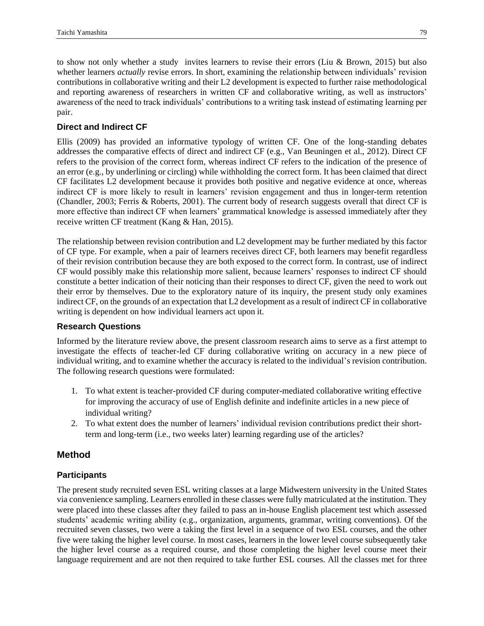to show not only whether a study invites learners to revise their errors (Liu & Brown, 2015) but also whether learners *actually* revise errors. In short, examining the relationship between individuals' revision contributions in collaborative writing and their L2 development is expected to further raise methodological and reporting awareness of researchers in written CF and collaborative writing, as well as instructors' awareness of the need to track individuals' contributions to a writing task instead of estimating learning per pair.

# **Direct and Indirect CF**

Ellis (2009) has provided an informative typology of written CF. One of the long-standing debates addresses the comparative effects of direct and indirect CF (e.g., Van Beuningen et al., 2012). Direct CF refers to the provision of the correct form, whereas indirect CF refers to the indication of the presence of an error (e.g., by underlining or circling) while withholding the correct form. It has been claimed that direct CF facilitates L2 development because it provides both positive and negative evidence at once, whereas indirect CF is more likely to result in learners' revision engagement and thus in longer-term retention (Chandler, 2003; Ferris & Roberts, 2001). The current body of research suggests overall that direct CF is more effective than indirect CF when learners' grammatical knowledge is assessed immediately after they receive written CF treatment (Kang & Han, 2015).

The relationship between revision contribution and L2 development may be further mediated by this factor of CF type. For example, when a pair of learners receives direct CF, both learners may benefit regardless of their revision contribution because they are both exposed to the correct form. In contrast, use of indirect CF would possibly make this relationship more salient, because learners' responses to indirect CF should constitute a better indication of their noticing than their responses to direct CF, given the need to work out their error by themselves. Due to the exploratory nature of its inquiry, the present study only examines indirect CF, on the grounds of an expectation that L2 development as a result of indirect CF in collaborative writing is dependent on how individual learners act upon it.

# **Research Questions**

Informed by the literature review above, the present classroom research aims to serve as a first attempt to investigate the effects of teacher-led CF during collaborative writing on accuracy in a new piece of individual writing, and to examine whether the accuracy is related to the individual's revision contribution. The following research questions were formulated:

- 1. To what extent is teacher-provided CF during computer-mediated collaborative writing effective for improving the accuracy of use of English definite and indefinite articles in a new piece of individual writing?
- 2. To what extent does the number of learners' individual revision contributions predict their shortterm and long-term (i.e., two weeks later) learning regarding use of the articles?

# **Method**

# **Participants**

The present study recruited seven ESL writing classes at a large Midwestern university in the United States via convenience sampling. Learners enrolled in these classes were fully matriculated at the institution. They were placed into these classes after they failed to pass an in-house English placement test which assessed students' academic writing ability (e.g., organization, arguments, grammar, writing conventions). Of the recruited seven classes, two were a taking the first level in a sequence of two ESL courses, and the other five were taking the higher level course. In most cases, learners in the lower level course subsequently take the higher level course as a required course, and those completing the higher level course meet their language requirement and are not then required to take further ESL courses. All the classes met for three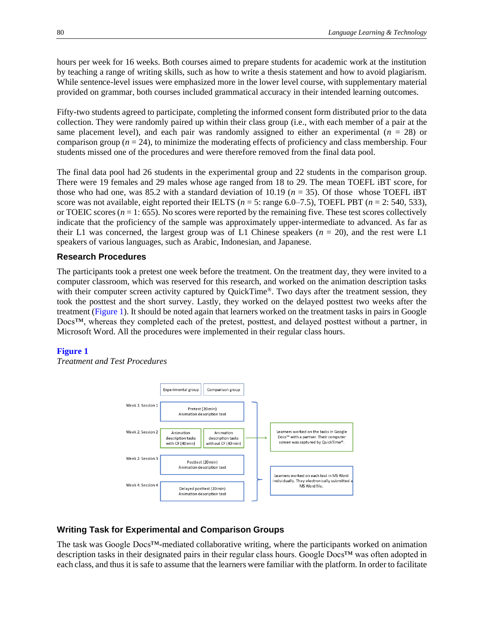hours per week for 16 weeks. Both courses aimed to prepare students for academic work at the institution by teaching a range of writing skills, such as how to write a thesis statement and how to avoid plagiarism. While sentence-level issues were emphasized more in the lower level course, with supplementary material provided on grammar, both courses included grammatical accuracy in their intended learning outcomes.

Fifty-two students agreed to participate, completing the informed consent form distributed prior to the data collection. They were randomly paired up within their class group (i.e., with each member of a pair at the same placement level), and each pair was randomly assigned to either an experimental  $(n = 28)$  or comparison group ( $n = 24$ ), to minimize the moderating effects of proficiency and class membership. Four students missed one of the procedures and were therefore removed from the final data pool.

The final data pool had 26 students in the experimental group and 22 students in the comparison group. There were 19 females and 29 males whose age ranged from 18 to 29. The mean TOEFL iBT score, for those who had one, was 85.2 with a standard deviation of 10.19 ( $n = 35$ ). Of those whose TOEFL iBT score was not available, eight reported their IELTS ( $n = 5$ : range 6.0–7.5), TOEFL PBT ( $n = 2$ : 540, 533), or TOEIC scores ( $n = 1$ : 655). No scores were reported by the remaining five. These test scores collectively indicate that the proficiency of the sample was approximately upper-intermediate to advanced. As far as their L1 was concerned, the largest group was of L1 Chinese speakers ( $n = 20$ ), and the rest were L1 speakers of various languages, such as Arabic, Indonesian, and Japanese.

#### **Research Procedures**

<span id="page-5-1"></span>The participants took a pretest one week before the treatment. On the treatment day, they were invited to a computer classroom, which was reserved for this research, and worked on the animation description tasks with their computer screen activity captured by QuickTime®. Two days after the treatment session, they took the posttest and the short survey. Lastly, they worked on the delayed posttest two weeks after the treatment [\(Figure 1\)](#page-5-0). It should be noted again that learners worked on the treatment tasks in pairs in Google Docs™, whereas they completed each of the pretest, posttest, and delayed posttest without a partner, in Microsoft Word. All the procedures were implemented in their regular class hours.

#### <span id="page-5-0"></span>**[Figure 1](#page-5-1)**

*Treatment and Test Procedures*



#### **Writing Task for Experimental and Comparison Groups**

The task was Google Docs™-mediated collaborative writing, where the participants worked on animation description tasks in their designated pairs in their regular class hours. Google Docs™ was often adopted in each class, and thus it is safe to assume that the learners were familiar with the platform. In order to facilitate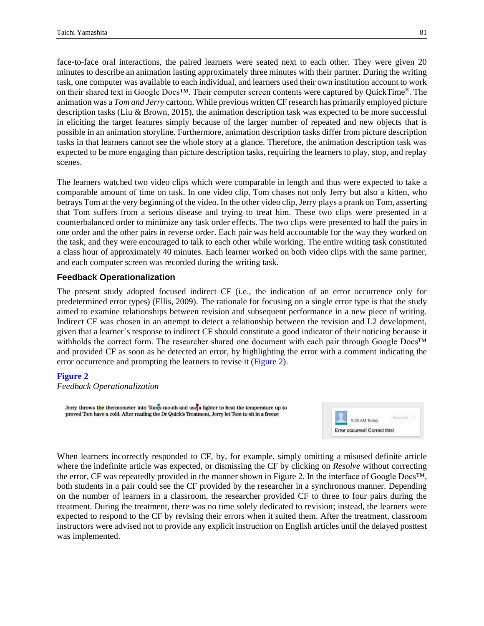face-to-face oral interactions, the paired learners were seated next to each other. They were given 20 minutes to describe an animation lasting approximately three minutes with their partner. During the writing task, one computer was available to each individual, and learners used their own institution account to work on their shared text in Google Docs™. Their computer screen contents were captured by QuickTime®. The animation was a *Tom and Jerry* cartoon. While previous written CF research has primarily employed picture description tasks (Liu & Brown, 2015), the animation description task was expected to be more successful in eliciting the target features simply because of the larger number of repeated and new objects that is possible in an animation storyline. Furthermore, animation description tasks differ from picture description tasks in that learners cannot see the whole story at a glance. Therefore, the animation description task was expected to be more engaging than picture description tasks, requiring the learners to play, stop, and replay scenes.

The learners watched two video clips which were comparable in length and thus were expected to take a comparable amount of time on task. In one video clip, Tom chases not only Jerry but also a kitten, who betrays Tom at the very beginning of the video. In the other video clip, Jerry plays a prank on Tom, asserting that Tom suffers from a serious disease and trying to treat him. These two clips were presented in a counterbalanced order to minimize any task order effects. The two clips were presented to half the pairs in one order and the other pairs in reverse order. Each pair was held accountable for the way they worked on the task, and they were encouraged to talk to each other while working. The entire writing task constituted a class hour of approximately 40 minutes. Each learner worked on both video clips with the same partner, and each computer screen was recorded during the writing task.

#### **Feedback Operationalization**

The present study adopted focused indirect CF (i.e., the indication of an error occurrence only for predetermined error types) (Ellis, 2009). The rationale for focusing on a single error type is that the study aimed to examine relationships between revision and subsequent performance in a new piece of writing. Indirect CF was chosen in an attempt to detect a relationship between the revision and L2 development, given that a learner's response to indirect CF should constitute a good indicator of their noticing because it withholds the correct form. The researcher shared one document with each pair through Google Docs™ and provided CF as soon as he detected an error, by highlighting the error with a comment indicating the error occurrence and prompting the learners to revise it [\(Figure 2\)](#page-6-0).

#### <span id="page-6-0"></span>**[Figure](#page-6-1) 2**

*Feedback Operationalization*

Jerry throws the thermometer into Toms mouth and use a lighter to heat the temperature up to proved Tom have a cold. After reading the Dr Quick's Treatment, Jerry let Tom to sit in a freeze

<span id="page-6-1"></span>

When learners incorrectly responded to CF, by, for example, simply omitting a misused definite article where the indefinite article was expected, or dismissing the CF by clicking on *Resolve* without correcting the error, CF was repeatedly provided in the manner shown in Figure 2. In the interface of Google Docs™, both students in a pair could see the CF provided by the researcher in a synchronous manner. Depending on the number of learners in a classroom, the researcher provided CF to three to four pairs during the treatment. During the treatment, there was no time solely dedicated to revision; instead, the learners were expected to respond to the CF by revising their errors when it suited them. After the treatment, classroom instructors were advised not to provide any explicit instruction on English articles until the delayed posttest was implemented.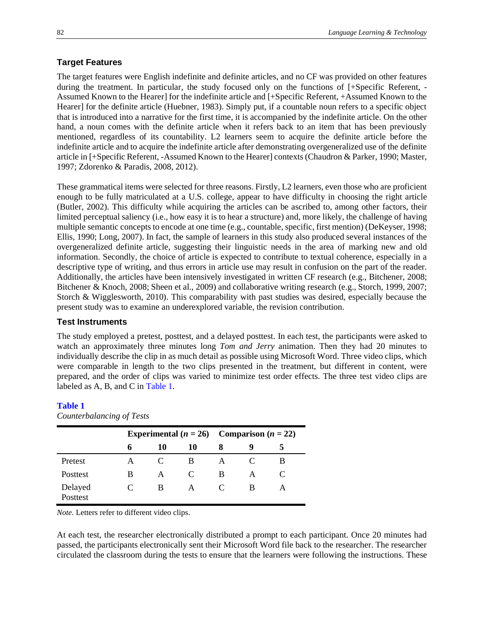#### **Target Features**

The target features were English indefinite and definite articles, and no CF was provided on other features during the treatment. In particular, the study focused only on the functions of [+Specific Referent, - Assumed Known to the Hearer] for the indefinite article and [+Specific Referent, +Assumed Known to the Hearer] for the definite article (Huebner, 1983). Simply put, if a countable noun refers to a specific object that is introduced into a narrative for the first time, it is accompanied by the indefinite article. On the other hand, a noun comes with the definite article when it refers back to an item that has been previously mentioned, regardless of its countability. L2 learners seem to acquire the definite article before the indefinite article and to acquire the indefinite article after demonstrating overgeneralized use of the definite article in [+Specific Referent, -Assumed Known to the Hearer] contexts (Chaudron & Parker, 1990; Master, 1997; Zdorenko & Paradis, 2008, 2012).

These grammatical items were selected for three reasons. Firstly, L2 learners, even those who are proficient enough to be fully matriculated at a U.S. college, appear to have difficulty in choosing the right article (Butler, 2002). This difficulty while acquiring the articles can be ascribed to, among other factors, their limited perceptual saliency (i.e., how easy it is to hear a structure) and, more likely, the challenge of having multiple semantic concepts to encode at one time (e.g., countable, specific, first mention) (DeKeyser, 1998; Ellis, 1990; Long, 2007). In fact, the sample of learners in this study also produced several instances of the overgeneralized definite article, suggesting their linguistic needs in the area of marking new and old information. Secondly, the choice of article is expected to contribute to textual coherence, especially in a descriptive type of writing, and thus errors in article use may result in confusion on the part of the reader. Additionally, the articles have been intensively investigated in written CF research (e.g., Bitchener, 2008; Bitchener & Knoch, 2008; Sheen et al., 2009) and collaborative writing research (e.g., Storch, 1999, 2007; Storch & Wigglesworth, 2010). This comparability with past studies was desired, especially because the present study was to examine an underexplored variable, the revision contribution.

#### **Test Instruments**

The study employed a pretest, posttest, and a delayed posttest. In each test, the participants were asked to watch an approximately three minutes long *Tom and Jerry* animation. Then they had 20 minutes to individually describe the clip in as much detail as possible using Microsoft Word. Three video clips, which were comparable in length to the two clips presented in the treatment, but different in content, were prepared, and the order of clips was varied to minimize test order effects. The three test video clips are labeled as A, B, and C in [Table 1.](#page-7-0)

#### <span id="page-7-1"></span><span id="page-7-0"></span>**[Table 1](#page-7-1)**

*Counterbalancing of Tests*

|                     | Experimental ( $n = 26$ ) Comparison ( $n = 22$ ) |    |                             |   |   |   |  |
|---------------------|---------------------------------------------------|----|-----------------------------|---|---|---|--|
|                     | 6                                                 | 10 | 10                          |   | 9 |   |  |
| Pretest             | А                                                 |    | В                           |   |   | В |  |
| Posttest            | В                                                 | А  | $\mathcal{C}_{\mathcal{C}}$ | В | A | C |  |
| Delayed<br>Posttest | $\mathcal{C}_{\mathcal{C}}$                       | В  | A                           |   | В |   |  |

*Note.* Letters refer to different video clips.

At each test, the researcher electronically distributed a prompt to each participant. Once 20 minutes had passed, the participants electronically sent their Microsoft Word file back to the researcher. The researcher circulated the classroom during the tests to ensure that the learners were following the instructions. These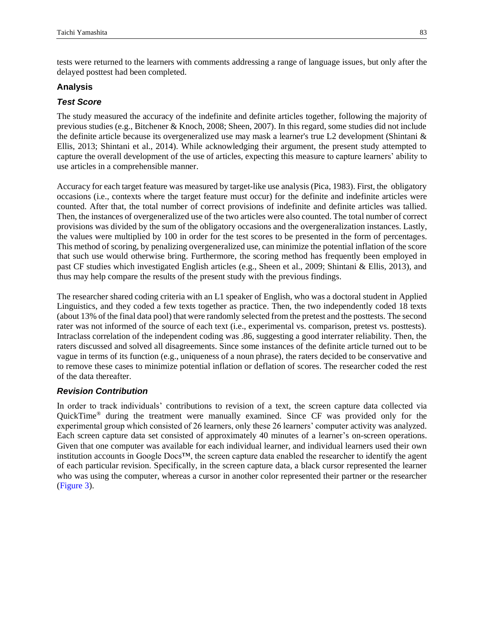tests were returned to the learners with comments addressing a range of language issues, but only after the delayed posttest had been completed.

#### **Analysis**

## *Test Score*

The study measured the accuracy of the indefinite and definite articles together, following the majority of previous studies (e.g., Bitchener & Knoch, 2008; Sheen, 2007). In this regard, some studies did not include the definite article because its overgeneralized use may mask a learner's true L2 development (Shintani & Ellis, 2013; Shintani et al., 2014). While acknowledging their argument, the present study attempted to capture the overall development of the use of articles, expecting this measure to capture learners' ability to use articles in a comprehensible manner.

Accuracy for each target feature was measured by target-like use analysis (Pica, 1983). First, the obligatory occasions (i.e., contexts where the target feature must occur) for the definite and indefinite articles were counted. After that, the total number of correct provisions of indefinite and definite articles was tallied. Then, the instances of overgeneralized use of the two articles were also counted. The total number of correct provisions was divided by the sum of the obligatory occasions and the overgeneralization instances. Lastly, the values were multiplied by 100 in order for the test scores to be presented in the form of percentages. This method of scoring, by penalizing overgeneralized use, can minimize the potential inflation of the score that such use would otherwise bring. Furthermore, the scoring method has frequently been employed in past CF studies which investigated English articles (e.g., Sheen et al., 2009; Shintani & Ellis, 2013), and thus may help compare the results of the present study with the previous findings.

The researcher shared coding criteria with an L1 speaker of English, who was a doctoral student in Applied Linguistics, and they coded a few texts together as practice. Then, the two independently coded 18 texts (about 13% of the final data pool) that were randomly selected from the pretest and the posttests. The second rater was not informed of the source of each text (i.e., experimental vs. comparison, pretest vs. posttests). Intraclass correlation of the independent coding was .86, suggesting a good interrater reliability. Then, the raters discussed and solved all disagreements. Since some instances of the definite article turned out to be vague in terms of its function (e.g., uniqueness of a noun phrase), the raters decided to be conservative and to remove these cases to minimize potential inflation or deflation of scores. The researcher coded the rest of the data thereafter.

## *Revision Contribution*

<span id="page-8-0"></span>In order to track individuals' contributions to revision of a text, the screen capture data collected via QuickTime® during the treatment were manually examined. Since CF was provided only for the experimental group which consisted of 26 learners, only these 26 learners' computer activity was analyzed. Each screen capture data set consisted of approximately 40 minutes of a learner's on-screen operations. Given that one computer was available for each individual learner, and individual learners used their own institution accounts in Google Docs™, the screen capture data enabled the researcher to identify the agent of each particular revision. Specifically, in the screen capture data, a black cursor represented the learner who was using the computer, whereas a cursor in another color represented their partner or the researcher [\(Figure 3\)](#page-9-0).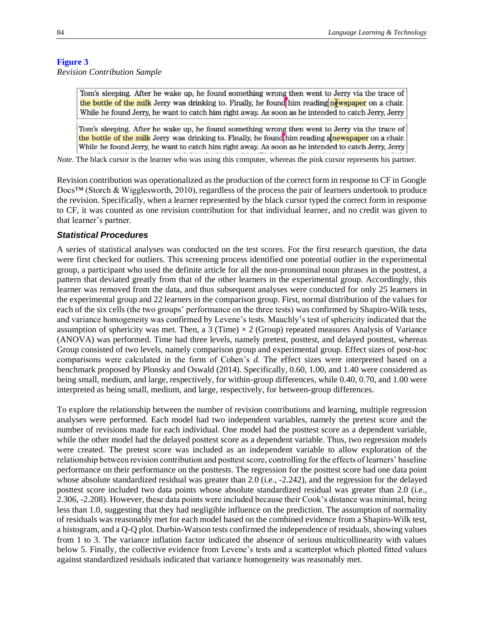#### <span id="page-9-0"></span>**[Figure 3](#page-8-0)**

*Revision Contribution Sample*

Tom's sleeping. After he wake up, he found something wrong then went to Jerry via the trace of the bottle of the milk Jerry was drinking to. Finally, he found him reading newspaper on a chair. While he found Jerry, he want to catch him right away. As soon as he intended to catch Jerry, Jerry

Tom's sleeping. After he wake up, he found something wrong then went to Jerry via the trace of the bottle of the milk Jerry was drinking to. Finally, he found him reading a newspaper on a chair. While he found Jerry, he want to catch him right away. As soon as he intended to catch Jerry, Jerry

*Note*. The black cursor is the learner who was using this computer, whereas the pink cursor represents his partner.

Revision contribution was operationalized as the production of the correct form in response to CF in Google Docs™ (Storch & Wigglesworth, 2010), regardless of the process the pair of learners undertook to produce the revision. Specifically, when a learner represented by the black cursor typed the correct form in response to CF, it was counted as one revision contribution for that individual learner, and no credit was given to that learner's partner.

#### *Statistical Procedures*

A series of statistical analyses was conducted on the test scores. For the first research question, the data were first checked for outliers. This screening process identified one potential outlier in the experimental group, a participant who used the definite article for all the non-pronominal noun phrases in the posttest, a pattern that deviated greatly from that of the other learners in the experimental group. Accordingly, this learner was removed from the data, and thus subsequent analyses were conducted for only 25 learners in the experimental group and 22 learners in the comparison group. First, normal distribution of the values for each of the six cells (the two groups' performance on the three tests) was confirmed by Shapiro-Wilk tests, and variance homogeneity was confirmed by Levene's tests. Mauchly's test of sphericity indicated that the assumption of sphericity was met. Then, a 3 (Time)  $\times$  2 (Group) repeated measures Analysis of Variance (ANOVA) was performed. Time had three levels, namely pretest, posttest, and delayed posttest, whereas Group consisted of two levels, namely comparison group and experimental group. Effect sizes of post-hoc comparisons were calculated in the form of Cohen's *d*. The effect sizes were interpreted based on a benchmark proposed by Plonsky and Oswald (2014). Specifically, 0.60, 1.00, and 1.40 were considered as being small, medium, and large, respectively, for within-group differences, while 0.40, 0.70, and 1.00 were interpreted as being small, medium, and large, respectively, for between-group differences.

To explore the relationship between the number of revision contributions and learning, multiple regression analyses were performed. Each model had two independent variables, namely the pretest score and the number of revisions made for each individual. One model had the posttest score as a dependent variable, while the other model had the delayed posttest score as a dependent variable. Thus, two regression models were created. The pretest score was included as an independent variable to allow exploration of the relationship between revision contribution and posttest score, controlling for the effects of learners' baseline performance on their performance on the posttests. The regression for the posttest score had one data point whose absolute standardized residual was greater than 2.0 (i.e., -2.242), and the regression for the delayed posttest score included two data points whose absolute standardized residual was greater than 2.0 (i.e., 2.306, -2.208). However, these data points were included because their Cook's distance was minimal, being less than 1.0, suggesting that they had negligible influence on the prediction. The assumption of normality of residuals was reasonably met for each model based on the combined evidence from a Shapiro-Wilk test, a histogram, and a Q-Q plot. Durbin-Watson tests confirmed the independence of residuals, showing values from 1 to 3. The variance inflation factor indicated the absence of serious multicollinearity with values below 5. Finally, the collective evidence from Levene's tests and a scatterplot which plotted fitted values against standardized residuals indicated that variance homogeneity was reasonably met.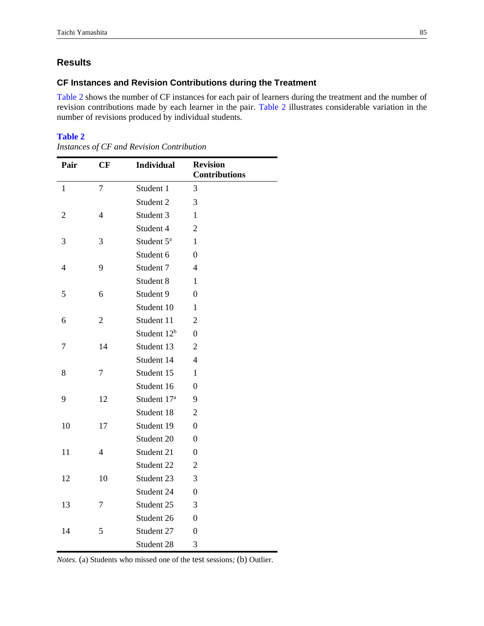# <span id="page-10-0"></span>**Results**

#### **CF Instances and Revision Contributions during the Treatment**

<span id="page-10-1"></span>[Table 2](#page-10-0) shows the number of CF instances for each pair of learners during the treatment and the number of revision contributions made by each learner in the pair. [Table 2](#page-10-0) illustrates considerable variation in the number of revisions produced by individual students.

#### **[Table 2](#page-10-1)**

| Pair           | CF             | <b>Individual</b>       | <b>Revision</b><br><b>Contributions</b> |
|----------------|----------------|-------------------------|-----------------------------------------|
| $\mathbf{1}$   | $\overline{7}$ | Student 1               | 3                                       |
|                |                | Student 2               | 3                                       |
| $\overline{2}$ | $\overline{4}$ | Student 3               | 1                                       |
|                |                | Student 4               | $\overline{2}$                          |
| 3              | 3              | Student 5 <sup>a</sup>  | 1                                       |
|                |                | Student 6               | $\theta$                                |
| 4              | 9              | Student 7               | 4                                       |
|                |                | Student 8               | 1                                       |
| 5              | 6              | Student 9               | $\theta$                                |
|                |                | Student 10              | 1                                       |
| 6              | $\overline{2}$ | Student 11              | 2                                       |
|                |                | Student 12 <sup>b</sup> | $\overline{0}$                          |
| 7              | 14             | Student 13              | $\overline{2}$                          |
|                |                | Student 14              | 4                                       |
| 8              | 7              | Student 15              | 1                                       |
|                |                | Student 16              | 0                                       |
| 9              | 12             | Student 17 <sup>a</sup> | 9                                       |
|                |                | Student 18              | $\overline{2}$                          |
| 10             | 17             | Student 19              | $\overline{0}$                          |
|                |                | Student 20              | 0                                       |
| 11             | $\overline{4}$ | Student 21              | $\overline{0}$                          |
|                |                | Student 22              | $\overline{2}$                          |
| 12             | 10             | Student 23              | 3                                       |
|                |                | Student 24              | $\overline{0}$                          |
| 13             | 7              | Student 25              | 3                                       |
|                |                | Student 26              | $\theta$                                |
| 14             | 5              | Student 27              | $\overline{0}$                          |
|                |                | Student 28              | 3                                       |

*Instances of CF and Revision Contribution*

*Notes.* (a) Students who missed one of the test sessions*;* (b) Outlier.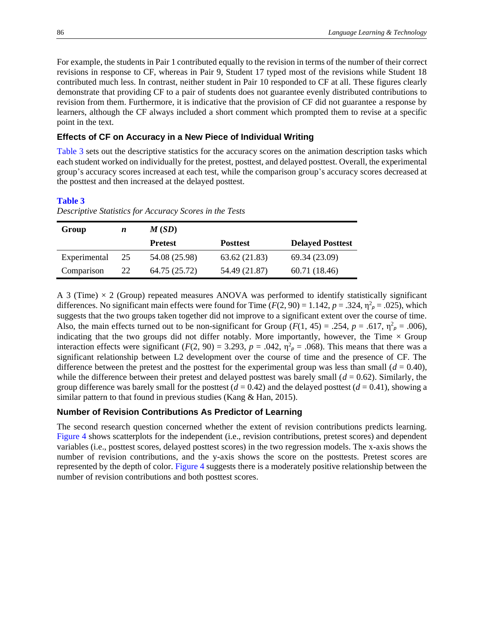For example, the students in Pair 1 contributed equally to the revision in terms of the number of their correct revisions in response to CF, whereas in Pair 9, Student 17 typed most of the revisions while Student 18 contributed much less. In contrast, neither student in Pair 10 responded to CF at all. These figures clearly demonstrate that providing CF to a pair of students does not guarantee evenly distributed contributions to revision from them. Furthermore, it is indicative that the provision of CF did not guarantee a response by learners, although the CF always included a short comment which prompted them to revise at a specific point in the text.

#### **Effects of CF on Accuracy in a New Piece of Individual Writing**

<span id="page-11-1"></span>[Table 3](#page-11-0) sets out the descriptive statistics for the accuracy scores on the animation description tasks which each student worked on individually for the pretest, posttest, and delayed posttest. Overall, the experimental group's accuracy scores increased at each test, while the comparison group's accuracy scores decreased at the posttest and then increased at the delayed posttest.

#### <span id="page-11-0"></span>**[Table 3](#page-11-1)**

| Group        | n  | M(SD)          |                 |                         |  |  |
|--------------|----|----------------|-----------------|-------------------------|--|--|
|              |    | <b>Pretest</b> | <b>Posttest</b> | <b>Delayed Posttest</b> |  |  |
| Experimental | 25 | 54.08 (25.98)  | 63.62 (21.83)   | 69.34 (23.09)           |  |  |
| Comparison   | 22 | 64.75 (25.72)  | 54.49 (21.87)   | 60.71 (18.46)           |  |  |

*Descriptive Statistics for Accuracy Scores in the Tests*

A 3 (Time)  $\times$  2 (Group) repeated measures ANOVA was performed to identify statistically significant differences. No significant main effects were found for Time  $(F(2, 90) = 1.142, p = .324, \eta^2_{p} = .025)$ , which suggests that the two groups taken together did not improve to a significant extent over the course of time. Also, the main effects turned out to be non-significant for Group ( $F(1, 45) = .254$ ,  $p = .617$ ,  $\eta^2 \rho = .006$ ), indicating that the two groups did not differ notably. More importantly, however, the Time  $\times$  Group interaction effects were significant  $(F(2, 90) = 3.293, p = .042, \eta^2 \rho = .068)$ . This means that there was a significant relationship between L2 development over the course of time and the presence of CF. The difference between the pretest and the posttest for the experimental group was less than small  $(d = 0.40)$ , while the difference between their pretest and delayed posttest was barely small  $(d = 0.62)$ . Similarly, the group difference was barely small for the posttest  $(d = 0.42)$  and the delayed posttest  $(d = 0.41)$ , showing a similar pattern to that found in previous studies (Kang & Han, 2015).

#### **Number of Revision Contributions As Predictor of Learning**

<span id="page-11-2"></span>The second research question concerned whether the extent of revision contributions predicts learning. [Figure 4](#page-12-0) shows scatterplots for the independent (i.e., revision contributions, pretest scores) and dependent variables (i.e., posttest scores, delayed posttest scores) in the two regression models. The x-axis shows the number of revision contributions, and the y-axis shows the score on the posttests. Pretest scores are represented by the depth of color. [Figure 4](#page-12-0) suggests there is a moderately positive relationship between the number of revision contributions and both posttest scores.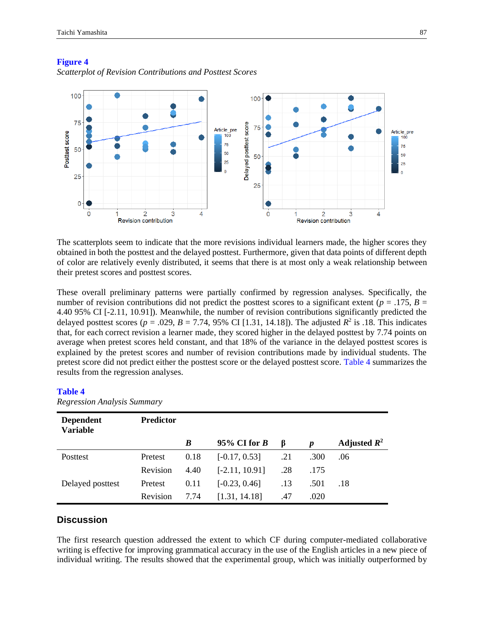

#### <span id="page-12-0"></span>**[Figure](#page-11-2) 4**

*Scatterplot of Revision Contributions and Posttest Scores*

The scatterplots seem to indicate that the more revisions individual learners made, the higher scores they obtained in both the posttest and the delayed posttest. Furthermore, given that data points of different depth of color are relatively evenly distributed, it seems that there is at most only a weak relationship between their pretest scores and posttest scores.

These overall preliminary patterns were partially confirmed by regression analyses. Specifically, the number of revision contributions did not predict the posttest scores to a significant extent ( $p = .175$ ,  $B =$ 4.40 95% CI [-2.11, 10.91]). Meanwhile, the number of revision contributions significantly predicted the delayed posttest scores ( $p = .029$ ,  $B = 7.74$ , 95% CI [1.31, 14.18]). The adjusted  $R^2$  is .18. This indicates that, for each correct revision a learner made, they scored higher in the delayed posttest by 7.74 points on average when pretest scores held constant, and that 18% of the variance in the delayed posttest scores is explained by the pretest scores and number of revision contributions made by individual students. The pretest score did not predict either the posttest score or the delayed posttest score. [Table 4](#page-12-1) summarizes the results from the regression analyses.

#### <span id="page-12-2"></span><span id="page-12-1"></span>**[Table 4](#page-12-2)**

| <b>Dependent</b><br><b>Variable</b> | <b>Predictor</b> |      |                  |     |                  |                |
|-------------------------------------|------------------|------|------------------|-----|------------------|----------------|
|                                     |                  | B    | 95% CI for $B$   | β   | $\boldsymbol{p}$ | Adjusted $R^2$ |
| Posttest                            | Pretest          | 0.18 | $[-0.17, 0.53]$  | .21 | .300             | .06            |
|                                     | Revision         | 4.40 | $[-2.11, 10.91]$ | .28 | .175             |                |
| Delayed posttest                    | Pretest          | 0.11 | $[-0.23, 0.46]$  | .13 | .501             | .18            |
|                                     | Revision         | 7.74 | [1.31, 14.18]    | .47 | .020             |                |

*Regression Analysis Summary*

### **Discussion**

The first research question addressed the extent to which CF during computer-mediated collaborative writing is effective for improving grammatical accuracy in the use of the English articles in a new piece of individual writing. The results showed that the experimental group, which was initially outperformed by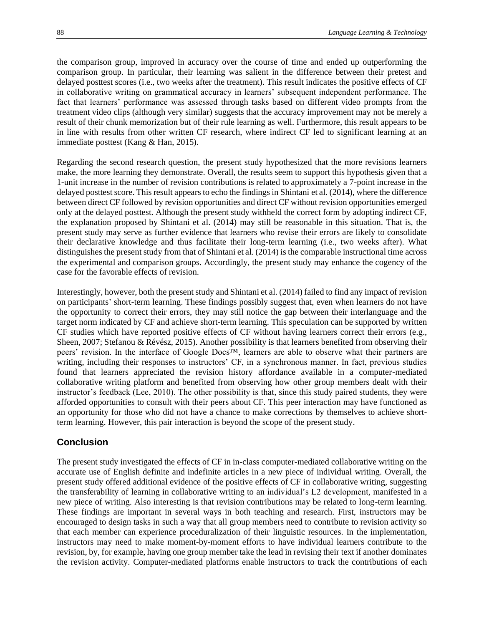the comparison group, improved in accuracy over the course of time and ended up outperforming the comparison group. In particular, their learning was salient in the difference between their pretest and delayed posttest scores (i.e., two weeks after the treatment). This result indicates the positive effects of CF in collaborative writing on grammatical accuracy in learners' subsequent independent performance. The fact that learners' performance was assessed through tasks based on different video prompts from the treatment video clips (although very similar) suggests that the accuracy improvement may not be merely a result of their chunk memorization but of their rule learning as well. Furthermore, this result appears to be in line with results from other written CF research, where indirect CF led to significant learning at an immediate posttest (Kang & Han, 2015).

Regarding the second research question, the present study hypothesized that the more revisions learners make, the more learning they demonstrate. Overall, the results seem to support this hypothesis given that a 1-unit increase in the number of revision contributions is related to approximately a 7-point increase in the delayed posttest score. This result appears to echo the findings in Shintani et al. (2014), where the difference between direct CF followed by revision opportunities and direct CF without revision opportunities emerged only at the delayed posttest. Although the present study withheld the correct form by adopting indirect CF, the explanation proposed by Shintani et al. (2014) may still be reasonable in this situation. That is, the present study may serve as further evidence that learners who revise their errors are likely to consolidate their declarative knowledge and thus facilitate their long-term learning (i.e., two weeks after). What distinguishes the present study from that of Shintani et al. (2014) is the comparable instructional time across the experimental and comparison groups. Accordingly, the present study may enhance the cogency of the case for the favorable effects of revision.

Interestingly, however, both the present study and Shintani et al. (2014) failed to find any impact of revision on participants' short-term learning. These findings possibly suggest that, even when learners do not have the opportunity to correct their errors, they may still notice the gap between their interlanguage and the target norm indicated by CF and achieve short-term learning. This speculation can be supported by written CF studies which have reported positive effects of CF without having learners correct their errors (e.g., Sheen, 2007; Stefanou & Révész, 2015). Another possibility is that learners benefited from observing their peers' revision. In the interface of Google Docs™, learners are able to observe what their partners are writing, including their responses to instructors' CF, in a synchronous manner. In fact, previous studies found that learners appreciated the revision history affordance available in a computer-mediated collaborative writing platform and benefited from observing how other group members dealt with their instructor's feedback (Lee, 2010). The other possibility is that, since this study paired students, they were afforded opportunities to consult with their peers about CF. This peer interaction may have functioned as an opportunity for those who did not have a chance to make corrections by themselves to achieve shortterm learning. However, this pair interaction is beyond the scope of the present study.

## **Conclusion**

The present study investigated the effects of CF in in-class computer-mediated collaborative writing on the accurate use of English definite and indefinite articles in a new piece of individual writing. Overall, the present study offered additional evidence of the positive effects of CF in collaborative writing, suggesting the transferability of learning in collaborative writing to an individual's L2 development, manifested in a new piece of writing. Also interesting is that revision contributions may be related to long-term learning. These findings are important in several ways in both teaching and research. First, instructors may be encouraged to design tasks in such a way that all group members need to contribute to revision activity so that each member can experience proceduralization of their linguistic resources. In the implementation, instructors may need to make moment-by-moment efforts to have individual learners contribute to the revision, by, for example, having one group member take the lead in revising their text if another dominates the revision activity. Computer-mediated platforms enable instructors to track the contributions of each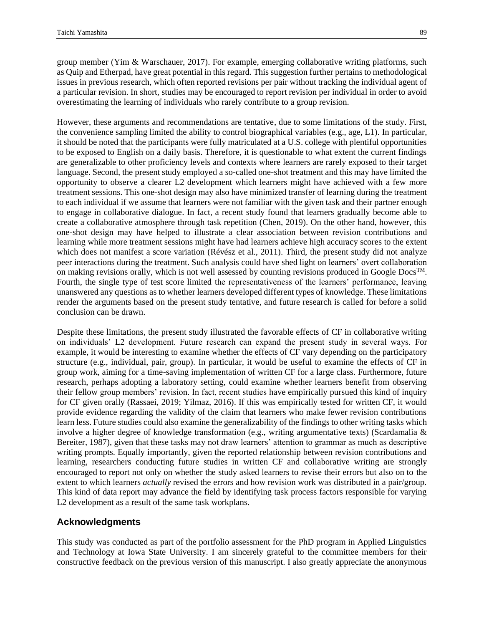group member (Yim & Warschauer, 2017). For example, emerging collaborative writing platforms, such as Quip and Etherpad, have great potential in this regard. This suggestion further pertains to methodological issues in previous research, which often reported revisions per pair without tracking the individual agent of a particular revision. In short, studies may be encouraged to report revision per individual in order to avoid overestimating the learning of individuals who rarely contribute to a group revision.

However, these arguments and recommendations are tentative, due to some limitations of the study. First, the convenience sampling limited the ability to control biographical variables (e.g., age, L1). In particular, it should be noted that the participants were fully matriculated at a U.S. college with plentiful opportunities to be exposed to English on a daily basis. Therefore, it is questionable to what extent the current findings are generalizable to other proficiency levels and contexts where learners are rarely exposed to their target language. Second, the present study employed a so-called one-shot treatment and this may have limited the opportunity to observe a clearer L2 development which learners might have achieved with a few more treatment sessions. This one-shot design may also have minimized transfer of learning during the treatment to each individual if we assume that learners were not familiar with the given task and their partner enough to engage in collaborative dialogue. In fact, a recent study found that learners gradually become able to create a collaborative atmosphere through task repetition (Chen, 2019). On the other hand, however, this one-shot design may have helped to illustrate a clear association between revision contributions and learning while more treatment sessions might have had learners achieve high accuracy scores to the extent which does not manifest a score variation (Révész et al., 2011). Third, the present study did not analyze peer interactions during the treatment. Such analysis could have shed light on learners' overt collaboration on making revisions orally, which is not well assessed by counting revisions produced in Google  $Docs<sup>TM</sup>$ . Fourth, the single type of test score limited the representativeness of the learners' performance, leaving unanswered any questions as to whether learners developed different types of knowledge. These limitations render the arguments based on the present study tentative, and future research is called for before a solid conclusion can be drawn.

Despite these limitations, the present study illustrated the favorable effects of CF in collaborative writing on individuals' L2 development. Future research can expand the present study in several ways. For example, it would be interesting to examine whether the effects of CF vary depending on the participatory structure (e.g., individual, pair, group). In particular, it would be useful to examine the effects of CF in group work, aiming for a time-saving implementation of written CF for a large class. Furthermore, future research, perhaps adopting a laboratory setting, could examine whether learners benefit from observing their fellow group members' revision. In fact, recent studies have empirically pursued this kind of inquiry for CF given orally (Rassaei, 2019; Yilmaz, 2016). If this was empirically tested for written CF, it would provide evidence regarding the validity of the claim that learners who make fewer revision contributions learn less. Future studies could also examine the generalizability of the findings to other writing tasks which involve a higher degree of knowledge transformation (e.g., writing argumentative texts) (Scardamalia & Bereiter, 1987), given that these tasks may not draw learners' attention to grammar as much as descriptive writing prompts. Equally importantly, given the reported relationship between revision contributions and learning, researchers conducting future studies in written CF and collaborative writing are strongly encouraged to report not only on whether the study asked learners to revise their errors but also on to the extent to which learners *actually* revised the errors and how revision work was distributed in a pair/group. This kind of data report may advance the field by identifying task process factors responsible for varying L2 development as a result of the same task workplans.

## **Acknowledgments**

This study was conducted as part of the portfolio assessment for the PhD program in Applied Linguistics and Technology at Iowa State University. I am sincerely grateful to the committee members for their constructive feedback on the previous version of this manuscript. I also greatly appreciate the anonymous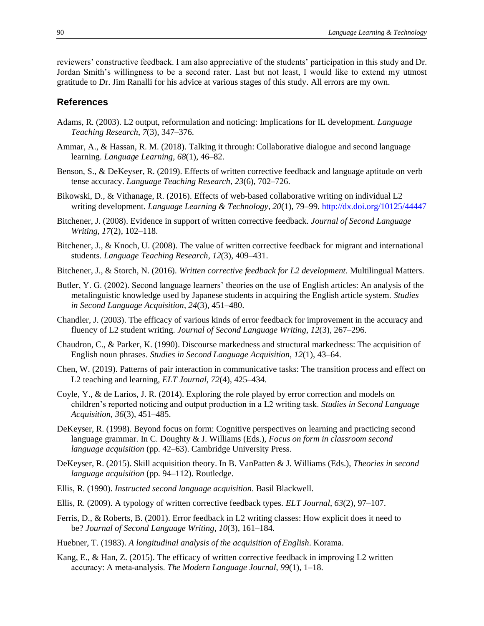reviewers' constructive feedback. I am also appreciative of the students' participation in this study and Dr. Jordan Smith's willingness to be a second rater. Last but not least, I would like to extend my utmost gratitude to Dr. Jim Ranalli for his advice at various stages of this study. All errors are my own.

#### **References**

- Adams, R. (2003). L2 output, reformulation and noticing: Implications for IL development. *Language Teaching Research*, *7*(3), 347–376.
- Ammar, A., & Hassan, R. M. (2018). Talking it through: Collaborative dialogue and second language learning. *Language Learning*, *68*(1), 46–82.
- Benson, S., & DeKeyser, R. (2019). Effects of written corrective feedback and language aptitude on verb tense accuracy. *Language Teaching Research*, *23*(6), 702–726.
- Bikowski, D., & Vithanage, R. (2016). Effects of web-based collaborative writing on individual L2 writing development. *Language Learning & Technology*, *20*(1), 79–99. <http://dx.doi.org/10125/44447>
- Bitchener, J. (2008). Evidence in support of written corrective feedback. *Journal of Second Language Writing*, *17*(2), 102–118.
- Bitchener, J., & Knoch, U. (2008). The value of written corrective feedback for migrant and international students. *Language Teaching Research*, *12*(3), 409–431.
- Bitchener, J., & Storch, N. (2016). *Written corrective feedback for L2 development*. Multilingual Matters.
- Butler, Y. G. (2002). Second language learners' theories on the use of English articles: An analysis of the metalinguistic knowledge used by Japanese students in acquiring the English article system. *Studies in Second Language Acquisition*, *24*(3), 451–480.
- Chandler, J. (2003). The efficacy of various kinds of error feedback for improvement in the accuracy and fluency of L2 student writing. *Journal of Second Language Writing*, *12*(3), 267–296.
- Chaudron, C., & Parker, K. (1990). Discourse markedness and structural markedness: The acquisition of English noun phrases. *Studies in Second Language Acquisition*, *12*(1), 43–64.
- Chen, W. (2019). Patterns of pair interaction in communicative tasks: The transition process and effect on L2 teaching and learning, *ELT Journal*, *72*(4), 425–434.
- Coyle, Y., & de Larios, J. R. (2014). Exploring the role played by error correction and models on children's reported noticing and output production in a L2 writing task. *Studies in Second Language Acquisition*, *36*(3), 451–485.
- DeKeyser, R. (1998). Beyond focus on form: Cognitive perspectives on learning and practicing second language grammar. In C. Doughty & J. Williams (Eds.), *Focus on form in classroom second language acquisition* (pp. 42–63). Cambridge University Press.
- DeKeyser, R. (2015). Skill acquisition theory. In B. VanPatten & J. Williams (Eds.), *Theories in second language acquisition* (pp. 94–112). Routledge.
- Ellis, R. (1990). *Instructed second language acquisition*. Basil Blackwell.
- Ellis, R. (2009). A typology of written corrective feedback types. *ELT Journal*, *63*(2), 97–107.
- Ferris, D., & Roberts, B. (2001). Error feedback in L2 writing classes: How explicit does it need to be? *Journal of Second Language Writing*, *10*(3), 161–184.
- Huebner, T. (1983). *A longitudinal analysis of the acquisition of English*. Korama.
- Kang, E., & Han, Z. (2015). The efficacy of written corrective feedback in improving L2 written accuracy: A meta‐analysis. *The Modern Language Journal*, *99*(1), 1–18.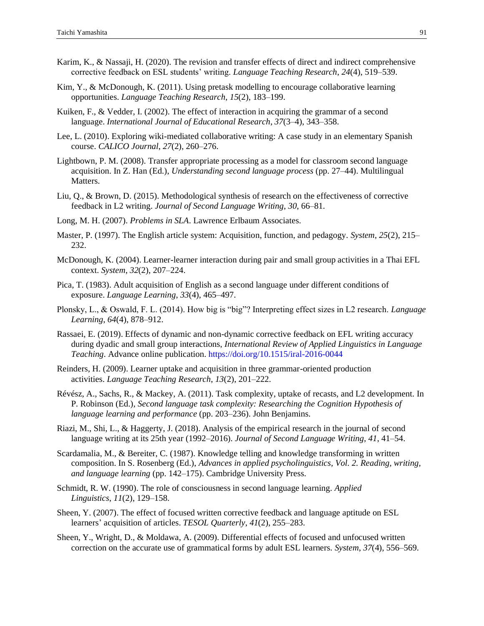- Karim, K., & Nassaji, H. (2020). The revision and transfer effects of direct and indirect comprehensive corrective feedback on ESL students' writing. *Language Teaching Research*, *24*(4), 519–539.
- Kim, Y., & McDonough, K. (2011). Using pretask modelling to encourage collaborative learning opportunities. *Language Teaching Research*, *15*(2), 183–199.
- Kuiken, F., & Vedder, I. (2002). The effect of interaction in acquiring the grammar of a second language. *International Journal of Educational Research*, *37*(3–4), 343–358.
- Lee, L. (2010). Exploring wiki-mediated collaborative writing: A case study in an elementary Spanish course. *CALICO Journal*, *27*(2), 260–276.
- Lightbown, P. M. (2008). Transfer appropriate processing as a model for classroom second language acquisition. In Z. Han (Ed.), *Understanding second language process* (pp. 27–44). Multilingual Matters.
- Liu, Q., & Brown, D. (2015). Methodological synthesis of research on the effectiveness of corrective feedback in L2 writing. *Journal of Second Language Writing*, *30*, 66–81.
- Long, M. H. (2007). *Problems in SLA*. Lawrence Erlbaum Associates.
- Master, P. (1997). The English article system: Acquisition, function, and pedagogy. *System*, *25*(2), 215– 232.
- McDonough, K. (2004). Learner-learner interaction during pair and small group activities in a Thai EFL context. *System*, *32*(2), 207–224.
- Pica, T. (1983). Adult acquisition of English as a second language under different conditions of exposure. *Language Learning*, *33*(4), 465–497.
- Plonsky, L., & Oswald, F. L. (2014). How big is "big"? Interpreting effect sizes in L2 research. *Language Learning*, *64*(4), 878–912.
- Rassaei, E. (2019). Effects of dynamic and non-dynamic corrective feedback on EFL writing accuracy during dyadic and small group interactions, *International Review of Applied Linguistics in Language Teaching*. Advance online publication[. https://doi.org/10.1515/iral-2016-0044](https://doi.org/10.1515/iral-2016-0044)
- Reinders, H. (2009). Learner uptake and acquisition in three grammar-oriented production activities. *Language Teaching Research*, *13*(2), 201–222.
- Révész, A., Sachs, R., & Mackey, A. (2011). Task complexity, uptake of recasts, and L2 development. In P. Robinson (Ed.), *Second language task complexity: Researching the Cognition Hypothesis of language learning and performance* (pp. 203–236). John Benjamins.
- Riazi, M., Shi, L., & Haggerty, J. (2018). Analysis of the empirical research in the journal of second language writing at its 25th year (1992–2016). *Journal of Second Language Writing*, *41*, 41–54.
- Scardamalia, M., & Bereiter, C. (1987). Knowledge telling and knowledge transforming in written composition. In S. Rosenberg (Ed.), *Advances in applied psycholinguistics, Vol. 2. Reading, writing, and language learning* (pp. 142–175). Cambridge University Press.
- Schmidt, R. W. (1990). The role of consciousness in second language learning. *Applied Linguistics*, *11*(2), 129–158.
- Sheen, Y. (2007). The effect of focused written corrective feedback and language aptitude on ESL learners' acquisition of articles. *TESOL Quarterly*, *41*(2), 255–283.
- Sheen, Y., Wright, D., & Moldawa, A. (2009). Differential effects of focused and unfocused written correction on the accurate use of grammatical forms by adult ESL learners. *System*, *37*(4), 556–569.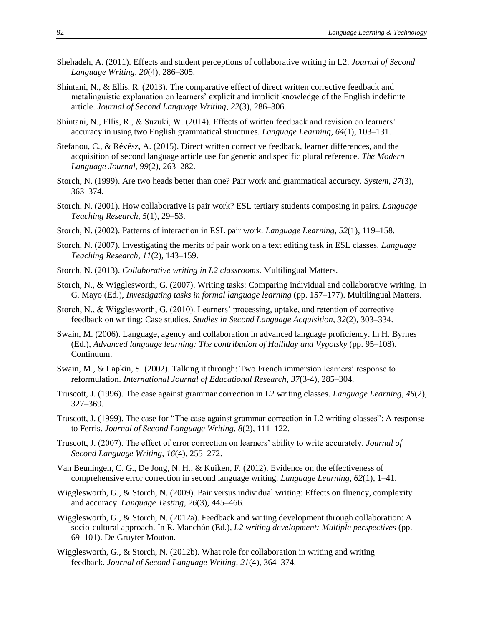- Shehadeh, A. (2011). Effects and student perceptions of collaborative writing in L2. *Journal of Second Language Writing*, *20*(4), 286–305.
- Shintani, N., & Ellis, R. (2013). The comparative effect of direct written corrective feedback and metalinguistic explanation on learners' explicit and implicit knowledge of the English indefinite article. *Journal of Second Language Writing*, *22*(3), 286–306.
- Shintani, N., Ellis, R., & Suzuki, W. (2014). Effects of written feedback and revision on learners' accuracy in using two English grammatical structures. *Language Learning*, *64*(1), 103–131.
- Stefanou, C., & Révész, A. (2015). Direct written corrective feedback, learner differences, and the acquisition of second language article use for generic and specific plural reference. *The Modern Language Journal*, *99*(2), 263–282.
- Storch, N. (1999). Are two heads better than one? Pair work and grammatical accuracy. *System*, *27*(3), 363–374.
- Storch, N. (2001). How collaborative is pair work? ESL tertiary students composing in pairs. *Language Teaching Research*, *5*(1), 29–53.
- Storch, N. (2002). Patterns of interaction in ESL pair work. *Language Learning*, *52*(1), 119–158.
- Storch, N. (2007). Investigating the merits of pair work on a text editing task in ESL classes. *Language Teaching Research*, *11*(2), 143–159.
- Storch, N. (2013). *Collaborative writing in L2 classrooms*. Multilingual Matters.
- Storch, N., & Wigglesworth, G. (2007). Writing tasks: Comparing individual and collaborative writing. In G. Mayo (Ed.), *Investigating tasks in formal language learning* (pp. 157–177). Multilingual Matters.
- Storch, N., & Wigglesworth, G. (2010). Learners' processing, uptake, and retention of corrective feedback on writing: Case studies. *Studies in Second Language Acquisition*, *32*(2), 303–334.
- Swain, M. (2006). Language, agency and collaboration in advanced language proficiency. In H. Byrnes (Ed.), *Advanced language learning: The contribution of Halliday and Vygotsky* (pp. 95–108). Continuum.
- Swain, M., & Lapkin, S. (2002). Talking it through: Two French immersion learners' response to reformulation. *International Journal of Educational Research*, *37*(3-4), 285–304.
- Truscott, J. (1996). The case against grammar correction in L2 writing classes. *Language Learning*, *46*(2), 327–369.
- Truscott, J. (1999). The case for "The case against grammar correction in L2 writing classes": A response to Ferris. *Journal of Second Language Writing*, *8*(2), 111–122.
- Truscott, J. (2007). The effect of error correction on learners' ability to write accurately. *Journal of Second Language Writing*, *16*(4), 255–272.
- Van Beuningen, C. G., De Jong, N. H., & Kuiken, F. (2012). Evidence on the effectiveness of comprehensive error correction in second language writing. *Language Learning*, *62*(1), 1–41.
- Wigglesworth, G., & Storch, N. (2009). Pair versus individual writing: Effects on fluency, complexity and accuracy. *Language Testing*, *26*(3), 445–466.
- Wigglesworth, G., & Storch, N. (2012a). Feedback and writing development through collaboration: A socio-cultural approach. In R. Manchón (Ed.), *L2 writing development: Multiple perspectives* (pp. 69–101). De Gruyter Mouton.
- Wigglesworth, G., & Storch, N. (2012b). What role for collaboration in writing and writing feedback. *Journal of Second Language Writing*, *21*(4), 364–374.